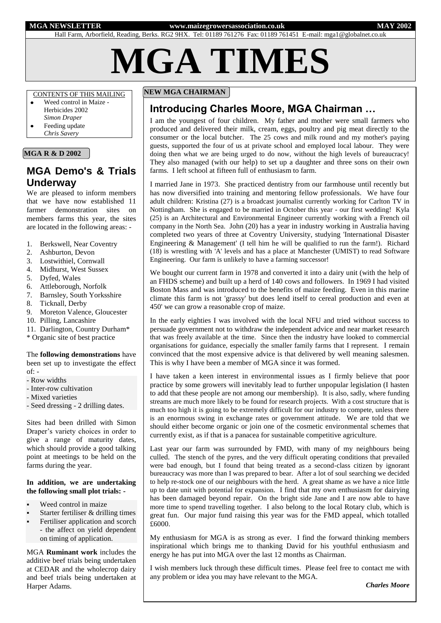#### **MGA NEWSLETTER www.maizegrowersassociation.co.uk MAY 2002**

Hall Farm, Arborfield, Reading, Berks. RG2 9HX. Tel: 01189 761276 Fax: 01189 761451 E-mail: mga1@globalnet.co.uk

**MGA TIMES**

## CONTENTS OF THIS MAILING

- Weed control in Maize Herbicides 2002 *Simon Draper*
- Feeding update *Chris Savery*

## **MGA R & D 2002**

# **MGA Demo's & Trials Underway**

We are pleased to inform members that we have now established 11 farmer demonstration sites on members farms this year, the sites are located in the following areas: -

- 1. Berkswell, Near Coventry
- 2. Ashburton, Devon
- 3. Lostwithiel, Cornwall
- 4. Midhurst, West Sussex
- 5. Dyfed, Wales
- 6. Attleborough, Norfolk
- 7. Barnsley, South Yorksshire
- 8. Ticknall, Derby
- 9. Moreton Valence, Gloucester
- 10. Pilling, Lancashire
- 11. Darlington, Country Durham\*
- \* Organic site of best practice

## The **following demonstrations** have been set up to investigate the effect

- $of: -$ - Row widths
- Inter-row cultivation
- Mixed varieties

- Seed dressing - 2 drilling dates.

Sites had been drilled with Simon Draper's variety choices in order to give a range of maturity dates, which should provide a good talking point at meetings to be held on the farms during the year.

#### **In addition, we are undertaking the following small plot trials: -**

- Weed control in maize
- Starter fertiliser & drilling times
- Fertiliser application and scorch - the affect on yield dependent on timing of application.

MGA **Ruminant work** includes the additive beef trials being undertaken at CEDAR and the wholecrop dairy and beef trials being undertaken at Harper Adams.

## **NEW MGA CHAIRMAN**

# **Introducing Charles Moore, MGA Chairman …**

I am the youngest of four children. My father and mother were small farmers who produced and delivered their milk, cream, eggs, poultry and pig meat directly to the consumer or the local butcher. The 25 cows and milk round and my mother's paying guests, supported the four of us at private school and employed local labour. They were doing then what we are being urged to do now, without the high levels of bureaucracy! They also managed (with our help) to set up a daughter and three sons on their own farms. I left school at fifteen full of enthusiasm to farm.

I married Jane in 1973. She practiced dentistry from our farmhouse until recently but has now diversified into training and mentoring fellow professionals. We have four adult children: Kristina (27) is a broadcast journalist currently working for Carlton TV in Nottingham. She is engaged to be married in October this year - our first wedding! Kyla (25) is an Architectural and Environmental Engineer currently working with a French oil company in the North Sea. John (20) has a year in industry working in Australia having completed two years of three at Coventry University, studying 'International Disaster Engineering & Management' (I tell him he will be qualified to run the farm!). Richard (18) is wrestling with 'A' levels and has a place at Manchester (UMIST) to read Software Engineering. Our farm is unlikely to have a farming successor!

We bought our current farm in 1978 and converted it into a dairy unit (with the help of an FHDS scheme) and built up a herd of 140 cows and followers. In 1969 I had visited Boston Mass and was introduced to the benefits of maize feeding. Even in this marine climate this farm is not 'grassy' but does lend itself to cereal production and even at 450' we can grow a reasonable crop of maize.

In the early eighties I was involved with the local NFU and tried without success to persuade government not to withdraw the independent advice and near market research that was freely available at the time. Since then the industry have looked to commercial organisations for guidance, especially the smaller family farms that I represent. I remain convinced that the most expensive advice is that delivered by well meaning salesmen. This is why I have been a member of MGA since it was formed.

I have taken a keen interest in environmental issues as I firmly believe that poor practice by some growers will inevitably lead to further unpopular legislation (I hasten to add that these people are not among our membership). It is also, sadly, where funding streams are much more likely to be found for research projects. With a cost structure that is much too high it is going to be extremely difficult for our industry to compete, unless there is an enormous swing in exchange rates or government attitude. We are told that we should either become organic or join one of the cosmetic environmental schemes that currently exist, as if that is a panacea for sustainable competitive agriculture.

Last year our farm was surrounded by FMD, with many of my neighbours being culled. The stench of the pyres, and the very difficult operating conditions that prevailed were bad enough, but I found that being treated as a second-class citizen by ignorant bureaucracy was more than I was prepared to bear. After a lot of soul searching we decided to help re-stock one of our neighbours with the herd. A great shame as we have a nice little up to date unit with potential for expansion. I find that my own enthusiasm for dairying has been damaged beyond repair. On the bright side Jane and I are now able to have more time to spend travelling together. I also belong to the local Rotary club, which is great fun. Our major fund raising this year was for the FMD appeal, which totalled £6000.

My enthusiasm for MGA is as strong as ever. I find the forward thinking members inspirational which brings me to thanking David for his youthful enthusiasm and energy he has put into MGA over the last 12 months as Chairman.

I wish members luck through these difficult times. Please feel free to contact me with any problem or idea you may have relevant to the MGA.